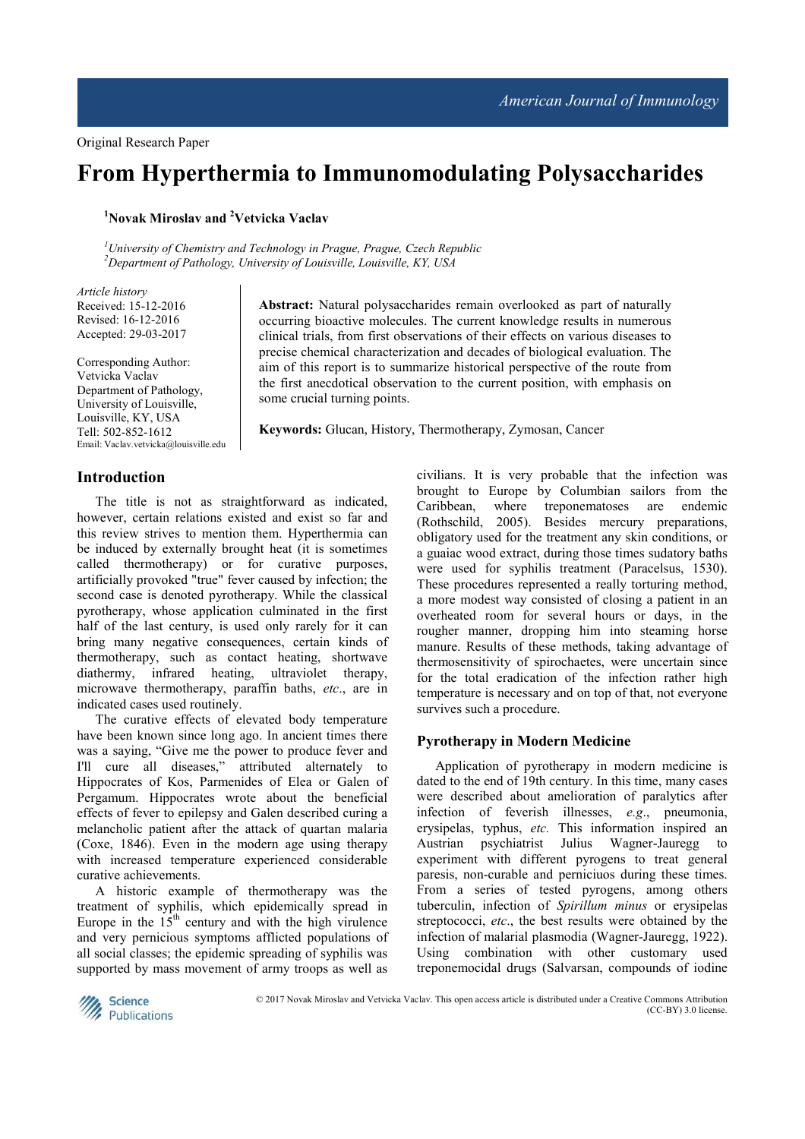# **From Hyperthermia to Immunomodulating Polysaccharides**

**<sup>1</sup>Novak Miroslav and <sup>2</sup>Vetvicka Vaclav** 

*<sup>1</sup>University of Chemistry and Technology in Prague, Prague, Czech Republic <sup>2</sup>Department of Pathology, University of Louisville, Louisville, KY, USA* 

*Article history*  Received: 15-12-2016 Revised: 16-12-2016 Accepted: 29-03-2017

**Introduction** 

Corresponding Author: Vetvicka Vaclav Department of Pathology, University of Louisville, Louisville, KY, USA Tell: 502-852-1612 Email: Vaclav.vetvicka@louisville.edu

### **Abstract:** Natural polysaccharides remain overlooked as part of naturally occurring bioactive molecules. The current knowledge results in numerous clinical trials, from first observations of their effects on various diseases to precise chemical characterization and decades of biological evaluation. The aim of this report is to summarize historical perspective of the route from the first anecdotical observation to the current position, with emphasis on some crucial turning points.

**Keywords:** Glucan, History, Thermotherapy, Zymosan, Cancer

The title is not as straightforward as indicated, however, certain relations existed and exist so far and this review strives to mention them. Hyperthermia can be induced by externally brought heat (it is sometimes called thermotherapy) or for curative purposes, artificially provoked "true" fever caused by infection; the second case is denoted pyrotherapy. While the classical pyrotherapy, whose application culminated in the first half of the last century, is used only rarely for it can bring many negative consequences, certain kinds of thermotherapy, such as contact heating, shortwave diathermy, infrared heating, ultraviolet therapy, microwave thermotherapy, paraffin baths, *etc*., are in indicated cases used routinely.

The curative effects of elevated body temperature have been known since long ago. In ancient times there was a saying, "Give me the power to produce fever and I'll cure all diseases," attributed alternately to Hippocrates of Kos, Parmenides of Elea or Galen of Pergamum. Hippocrates wrote about the beneficial effects of fever to epilepsy and Galen described curing a melancholic patient after the attack of quartan malaria (Coxe, 1846). Even in the modern age using therapy with increased temperature experienced considerable curative achievements.

A historic example of thermotherapy was the treatment of syphilis, which epidemically spread in Europe in the  $15<sup>th</sup>$  century and with the high virulence and very pernicious symptoms afflicted populations of all social classes; the epidemic spreading of syphilis was supported by mass movement of army troops as well as

civilians. It is very probable that the infection was brought to Europe by Columbian sailors from the Caribbean, where treponematoses are endemic (Rothschild, 2005). Besides mercury preparations, obligatory used for the treatment any skin conditions, or a guaiac wood extract, during those times sudatory baths were used for syphilis treatment (Paracelsus, 1530). These procedures represented a really torturing method, a more modest way consisted of closing a patient in an overheated room for several hours or days, in the rougher manner, dropping him into steaming horse manure. Results of these methods, taking advantage of thermosensitivity of spirochaetes, were uncertain since for the total eradication of the infection rather high temperature is necessary and on top of that, not everyone survives such a procedure.

#### **Pyrotherapy in Modern Medicine**

Application of pyrotherapy in modern medicine is dated to the end of 19th century. In this time, many cases were described about amelioration of paralytics after infection of feverish illnesses, *e.g*., pneumonia, erysipelas, typhus, *etc.* This information inspired an Austrian psychiatrist Julius Wagner-Jauregg to experiment with different pyrogens to treat general paresis, non-curable and perniciuos during these times. From a series of tested pyrogens, among others tuberculin, infection of *Spirillum minus* or erysipelas streptococci, *etc*., the best results were obtained by the infection of malarial plasmodia (Wagner-Jauregg, 1922). Using combination with other customary used treponemocidal drugs (Salvarsan, compounds of iodine



© 2017 Novak Miroslav and Vetvicka Vaclav. This open access article is distributed under a Creative Commons Attribution (CC-BY) 3.0 license.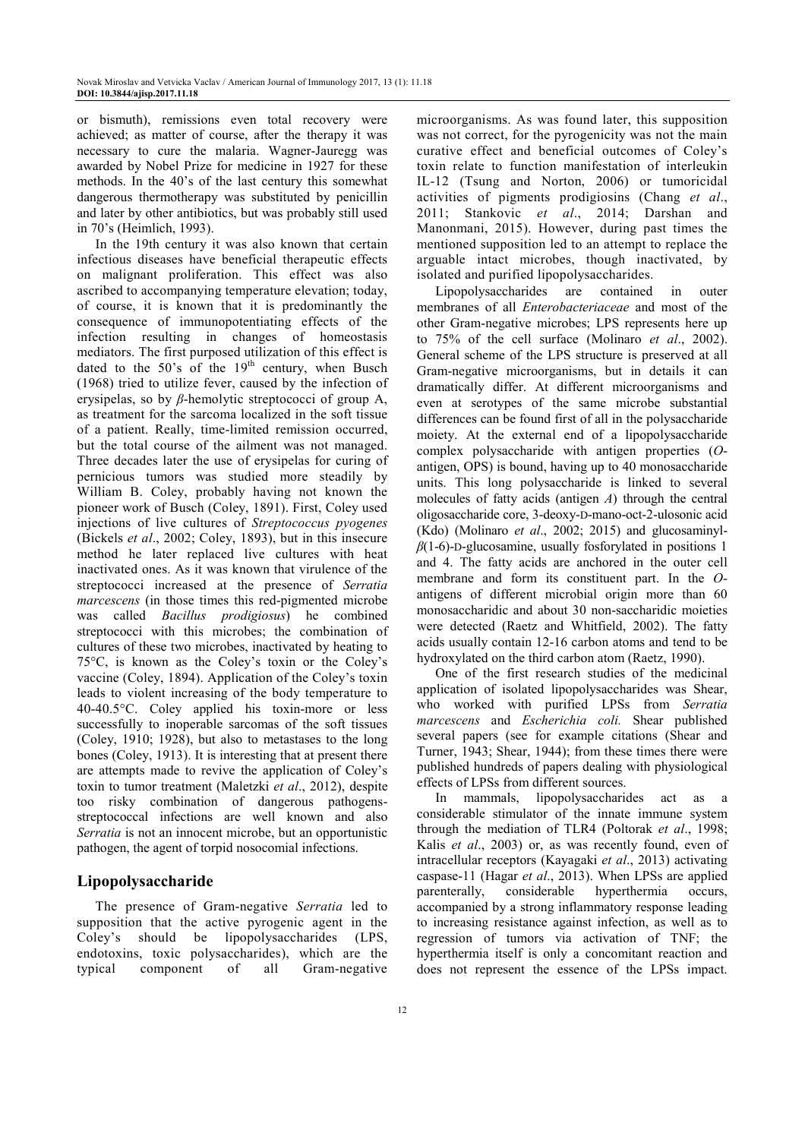or bismuth), remissions even total recovery were achieved; as matter of course, after the therapy it was necessary to cure the malaria. Wagner-Jauregg was awarded by Nobel Prize for medicine in 1927 for these methods. In the 40's of the last century this somewhat dangerous thermotherapy was substituted by penicillin and later by other antibiotics, but was probably still used in 70's (Heimlich, 1993).

In the 19th century it was also known that certain infectious diseases have beneficial therapeutic effects on malignant proliferation. This effect was also ascribed to accompanying temperature elevation; today, of course, it is known that it is predominantly the consequence of immunopotentiating effects of the infection resulting in changes of homeostasis mediators. The first purposed utilization of this effect is dated to the  $50^{\circ}$ s of the  $19^{th}$  century, when Busch (1968) tried to utilize fever, caused by the infection of erysipelas, so by *β*-hemolytic streptococci of group A, as treatment for the sarcoma localized in the soft tissue of a patient. Really, time-limited remission occurred, but the total course of the ailment was not managed. Three decades later the use of erysipelas for curing of pernicious tumors was studied more steadily by William B. Coley, probably having not known the pioneer work of Busch (Coley, 1891). First, Coley used injections of live cultures of *Streptococcus pyogenes* (Bickels *et al*., 2002; Coley, 1893), but in this insecure method he later replaced live cultures with heat inactivated ones. As it was known that virulence of the streptococci increased at the presence of *Serratia marcescens* (in those times this red-pigmented microbe was called *Bacillus prodigiosus*) he combined streptococci with this microbes; the combination of cultures of these two microbes, inactivated by heating to 75°C, is known as the Coley's toxin or the Coley's vaccine (Coley, 1894). Application of the Coley's toxin leads to violent increasing of the body temperature to 40-40.5°C. Coley applied his toxin-more or less successfully to inoperable sarcomas of the soft tissues (Coley, 1910; 1928), but also to metastases to the long bones (Coley, 1913). It is interesting that at present there are attempts made to revive the application of Coley's toxin to tumor treatment (Maletzki *et al*., 2012), despite too risky combination of dangerous pathogensstreptococcal infections are well known and also *Serratia* is not an innocent microbe, but an opportunistic pathogen, the agent of torpid nosocomial infections.

## **Lipopolysaccharide**

The presence of Gram-negative *Serratia* led to supposition that the active pyrogenic agent in the Coley's should be lipopolysaccharides (LPS, endotoxins, toxic polysaccharides), which are the typical component of all Gram-negative microorganisms. As was found later, this supposition was not correct, for the pyrogenicity was not the main curative effect and beneficial outcomes of Coley's toxin relate to function manifestation of interleukin IL-12 (Tsung and Norton, 2006) or tumoricidal activities of pigments prodigiosins (Chang *et al*., 2011; Stankovic *et al*., 2014; Darshan and Manonmani, 2015). However, during past times the mentioned supposition led to an attempt to replace the arguable intact microbes, though inactivated, by isolated and purified lipopolysaccharides.

Lipopolysaccharides are contained in outer membranes of all *Enterobacteriaceae* and most of the other Gram-negative microbes; LPS represents here up to 75% of the cell surface (Molinaro *et al*., 2002). General scheme of the LPS structure is preserved at all Gram-negative microorganisms, but in details it can dramatically differ. At different microorganisms and even at serotypes of the same microbe substantial differences can be found first of all in the polysaccharide moiety. At the external end of a lipopolysaccharide complex polysaccharide with antigen properties (*O*antigen, OPS) is bound, having up to 40 monosaccharide units. This long polysaccharide is linked to several molecules of fatty acids (antigen *A*) through the central oligosaccharide core, 3-deoxy-D-mano-oct-2-ulosonic acid (Kdo) (Molinaro *et al*., 2002; 2015) and glucosaminyl*β*(1-6)-D-glucosamine, usually fosforylated in positions 1 and 4. The fatty acids are anchored in the outer cell membrane and form its constituent part. In the *O*antigens of different microbial origin more than 60 monosaccharidic and about 30 non-saccharidic moieties were detected (Raetz and Whitfield, 2002). The fatty acids usually contain 12-16 carbon atoms and tend to be hydroxylated on the third carbon atom (Raetz, 1990).

One of the first research studies of the medicinal application of isolated lipopolysaccharides was Shear, who worked with purified LPSs from *Serratia marcescens* and *Escherichia coli.* Shear published several papers (see for example citations (Shear and Turner, 1943; Shear, 1944); from these times there were published hundreds of papers dealing with physiological effects of LPSs from different sources.

In mammals, lipopolysaccharides act as a considerable stimulator of the innate immune system through the mediation of TLR4 (Poltorak *et al*., 1998; Kalis *et al*., 2003) or, as was recently found, even of intracellular receptors (Kayagaki *et al*., 2013) activating caspase-11 (Hagar *et al*., 2013). When LPSs are applied parenterally, considerable hyperthermia occurs, accompanied by a strong inflammatory response leading to increasing resistance against infection, as well as to regression of tumors via activation of TNF; the hyperthermia itself is only a concomitant reaction and does not represent the essence of the LPSs impact.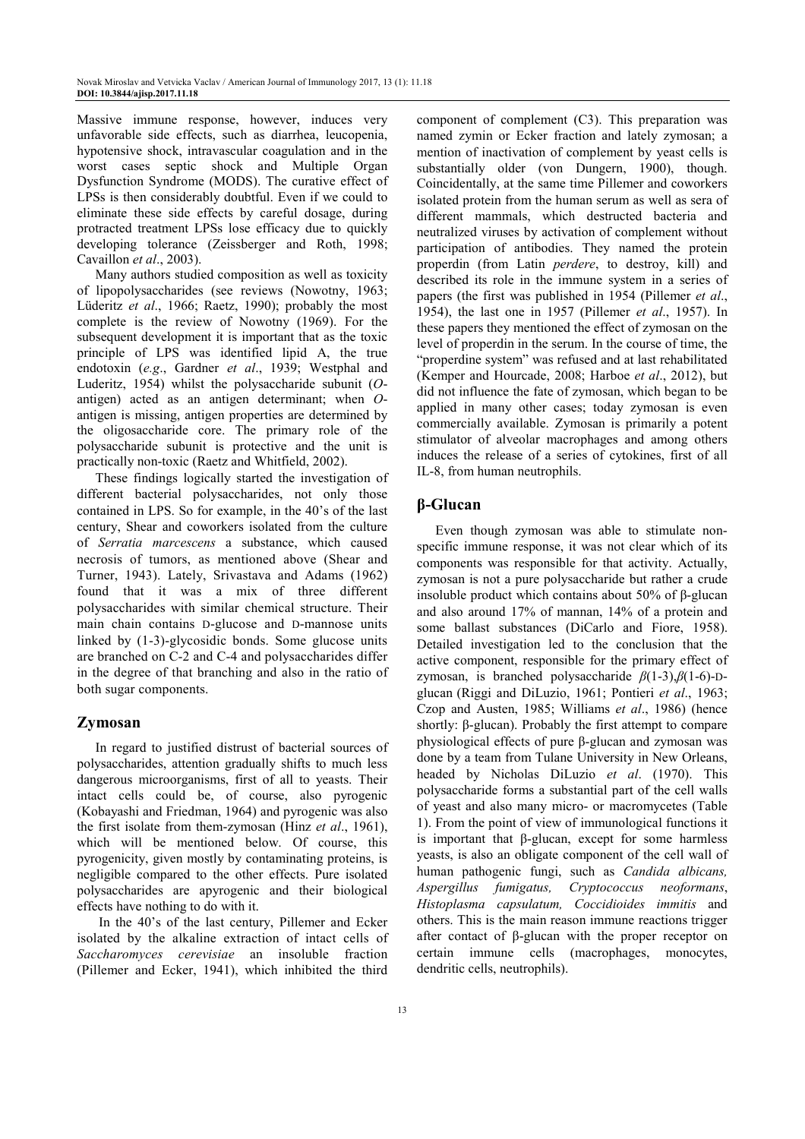Massive immune response, however, induces very unfavorable side effects, such as diarrhea, leucopenia, hypotensive shock, intravascular coagulation and in the worst cases septic shock and Multiple Organ Dysfunction Syndrome (MODS). The curative effect of LPSs is then considerably doubtful. Even if we could to eliminate these side effects by careful dosage, during protracted treatment LPSs lose efficacy due to quickly developing tolerance (Zeissberger and Roth, 1998; Cavaillon *et al*., 2003).

Many authors studied composition as well as toxicity of lipopolysaccharides (see reviews (Nowotny, 1963; Lüderitz *et al*., 1966; Raetz, 1990); probably the most complete is the review of Nowotny (1969). For the subsequent development it is important that as the toxic principle of LPS was identified lipid A, the true endotoxin (*e.g*., Gardner *et al*., 1939; Westphal and Luderitz, 1954) whilst the polysaccharide subunit (*O*antigen) acted as an antigen determinant; when *O*antigen is missing, antigen properties are determined by the oligosaccharide core. The primary role of the polysaccharide subunit is protective and the unit is practically non-toxic (Raetz and Whitfield, 2002).

These findings logically started the investigation of different bacterial polysaccharides, not only those contained in LPS. So for example, in the 40's of the last century, Shear and coworkers isolated from the culture of *Serratia marcescens* a substance, which caused necrosis of tumors, as mentioned above (Shear and Turner, 1943). Lately, Srivastava and Adams (1962) found that it was a mix of three different polysaccharides with similar chemical structure. Their main chain contains D-glucose and D-mannose units linked by (1-3)-glycosidic bonds. Some glucose units are branched on C-2 and C-4 and polysaccharides differ in the degree of that branching and also in the ratio of both sugar components.

## **Zymosan**

In regard to justified distrust of bacterial sources of polysaccharides, attention gradually shifts to much less dangerous microorganisms, first of all to yeasts. Their intact cells could be, of course, also pyrogenic (Kobayashi and Friedman, 1964) and pyrogenic was also the first isolate from them-zymosan (Hinz *et al*., 1961), which will be mentioned below. Of course, this pyrogenicity, given mostly by contaminating proteins, is negligible compared to the other effects. Pure isolated polysaccharides are apyrogenic and their biological effects have nothing to do with it.

 In the 40's of the last century, Pillemer and Ecker isolated by the alkaline extraction of intact cells of *Saccharomyces cerevisiae* an insoluble fraction (Pillemer and Ecker, 1941), which inhibited the third

component of complement (C3). This preparation was named zymin or Ecker fraction and lately zymosan; a mention of inactivation of complement by yeast cells is substantially older (von Dungern, 1900), though. Coincidentally, at the same time Pillemer and coworkers isolated protein from the human serum as well as sera of different mammals, which destructed bacteria and neutralized viruses by activation of complement without participation of antibodies. They named the protein properdin (from Latin *perdere*, to destroy, kill) and described its role in the immune system in a series of papers (the first was published in 1954 (Pillemer *et al*., 1954), the last one in 1957 (Pillemer *et al*., 1957). In these papers they mentioned the effect of zymosan on the level of properdin in the serum. In the course of time, the "properdine system" was refused and at last rehabilitated (Kemper and Hourcade, 2008; Harboe *et al*., 2012), but did not influence the fate of zymosan, which began to be applied in many other cases; today zymosan is even commercially available. Zymosan is primarily a potent stimulator of alveolar macrophages and among others induces the release of a series of cytokines, first of all IL-8, from human neutrophils.

## **β-Glucan**

Even though zymosan was able to stimulate nonspecific immune response, it was not clear which of its components was responsible for that activity. Actually, zymosan is not a pure polysaccharide but rather a crude insoluble product which contains about 50% of β-glucan and also around 17% of mannan, 14% of a protein and some ballast substances (DiCarlo and Fiore, 1958). Detailed investigation led to the conclusion that the active component, responsible for the primary effect of zymosan, is branched polysaccharide *β*(1-3),*β*(1-6)-Dglucan (Riggi and DiLuzio, 1961; Pontieri *et al*., 1963; Czop and Austen, 1985; Williams *et al*., 1986) (hence shortly: β-glucan). Probably the first attempt to compare physiological effects of pure β-glucan and zymosan was done by a team from Tulane University in New Orleans, headed by Nicholas DiLuzio *et al*. (1970). This polysaccharide forms a substantial part of the cell walls of yeast and also many micro- or macromycetes (Table 1). From the point of view of immunological functions it is important that β-glucan, except for some harmless yeasts, is also an obligate component of the cell wall of human pathogenic fungi, such as *Candida albicans, Aspergillus fumigatus, Cryptococcus neoformans*, *Histoplasma capsulatum, Coccidioides immitis* and others. This is the main reason immune reactions trigger after contact of β-glucan with the proper receptor on certain immune cells (macrophages, monocytes, dendritic cells, neutrophils).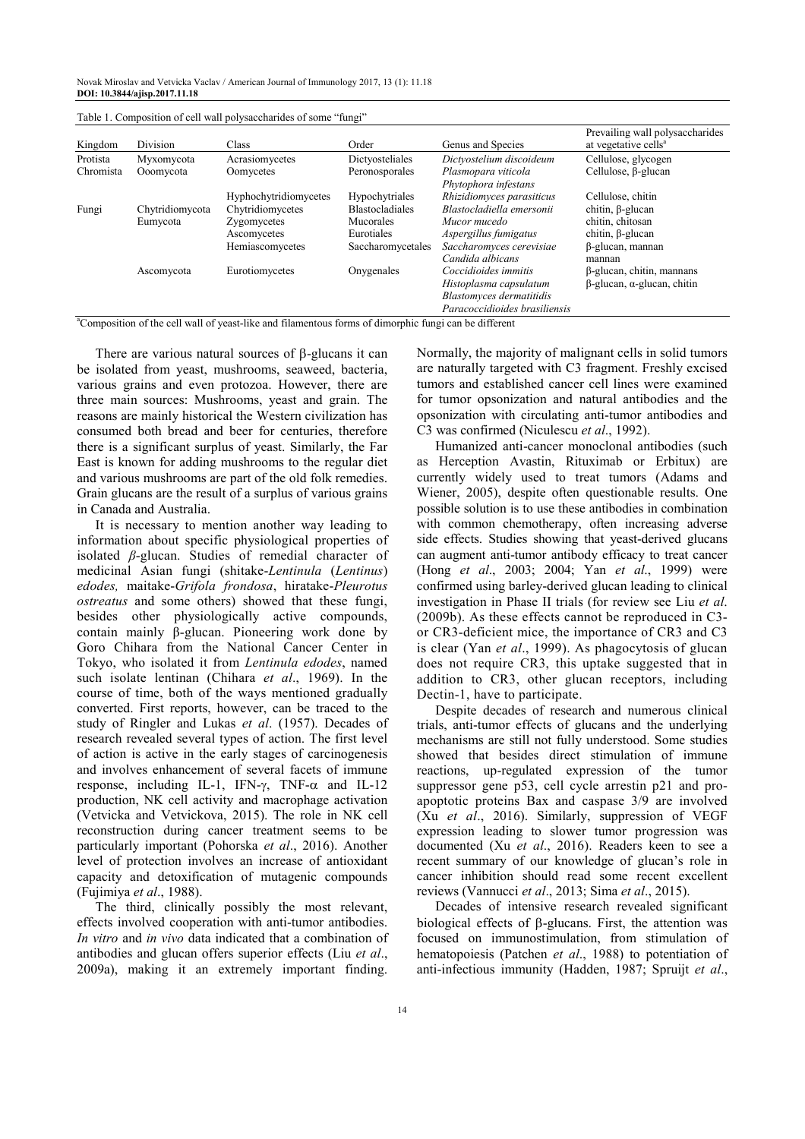Novak Miroslav and Vetvicka Vaclav / American Journal of Immunology 2017, 13 (1): 11.18 **DOI: 10.3844/ajisp.2017.11.18** 

|           |                 |                       |                        |                                             | Prevailing wall polysaccharides           |
|-----------|-----------------|-----------------------|------------------------|---------------------------------------------|-------------------------------------------|
| Kingdom   | Division        | Class                 | Order                  | Genus and Species                           | at vegetative cells <sup>a</sup>          |
| Protista  | Myxomycota      | Acrasiomycetes        | Dictyosteliales        | Dictyostelium discoideum                    | Cellulose, glycogen                       |
| Chromista | Ooomycota       | Oomycetes             | Peronosporales         | Plasmopara viticola<br>Phytophora infestans | Cellulose, $\beta$ -glucan                |
|           |                 | Hyphochytridiomycetes | Hypochytriales         | Rhizidiomyces parasiticus                   | Cellulose, chitin                         |
| Fungi     | Chytridiomycota | Chytridiomycetes      | <b>Blastocladiales</b> | Blastocladiella emersonii                   | chitin, $\beta$ -glucan                   |
|           | Eumycota        | Zygomycetes           | <b>Mucorales</b>       | Mucor mucedo                                | chitin, chitosan                          |
|           |                 | Ascomycetes           | Eurotiales             | Aspergillus fumigatus                       | chitin, $\beta$ -glucan                   |
|           |                 | Hemiascomycetes       | Saccharomycetales      | Saccharomyces cerevisiae                    | β-glucan, mannan                          |
|           |                 |                       |                        | Candida albicans                            | mannan                                    |
|           | Ascomycota      | Eurotiomycetes        | Onvgenales             | Coccidioides immitis                        | β-glucan, chitin, mannans                 |
|           |                 |                       |                        | Histoplasma capsulatum                      | $\beta$ -glucan, $\alpha$ -glucan, chitin |
|           |                 |                       |                        | <b>Blastomyces dermatitidis</b>             |                                           |
|           |                 |                       |                        | Paracoccidioides brasiliensis               |                                           |

Table 1. Composition of cell wall polysaccharides of some "fungi"

<sup>a</sup>Composition of the cell wall of yeast-like and filamentous forms of dimorphic fungi can be different

There are various natural sources of β-glucans it can be isolated from yeast, mushrooms, seaweed, bacteria, various grains and even protozoa. However, there are three main sources: Mushrooms, yeast and grain. The reasons are mainly historical the Western civilization has consumed both bread and beer for centuries, therefore there is a significant surplus of yeast. Similarly, the Far East is known for adding mushrooms to the regular diet and various mushrooms are part of the old folk remedies. Grain glucans are the result of a surplus of various grains in Canada and Australia.

It is necessary to mention another way leading to information about specific physiological properties of isolated *β*-glucan. Studies of remedial character of medicinal Asian fungi (shitake-*Lentinula* (*Lentinus*) *edodes,* maitake-*Grifola frondosa*, hiratake-*Pleurotus ostreatus* and some others) showed that these fungi, besides other physiologically active compounds, contain mainly β-glucan. Pioneering work done by Goro Chihara from the National Cancer Center in Tokyo, who isolated it from *Lentinula edodes*, named such isolate lentinan (Chihara *et al*., 1969). In the course of time, both of the ways mentioned gradually converted. First reports, however, can be traced to the study of Ringler and Lukas *et al*. (1957). Decades of research revealed several types of action. The first level of action is active in the early stages of carcinogenesis and involves enhancement of several facets of immune response, including IL-1, IFN-γ, TNF- $\alpha$  and IL-12 production, NK cell activity and macrophage activation (Vetvicka and Vetvickova, 2015). The role in NK cell reconstruction during cancer treatment seems to be particularly important (Pohorska *et al*., 2016). Another level of protection involves an increase of antioxidant capacity and detoxification of mutagenic compounds (Fujimiya *et al*., 1988).

The third, clinically possibly the most relevant, effects involved cooperation with anti-tumor antibodies. *In vitro* and *in vivo* data indicated that a combination of antibodies and glucan offers superior effects (Liu *et al*., 2009a), making it an extremely important finding.

Normally, the majority of malignant cells in solid tumors are naturally targeted with C3 fragment. Freshly excised tumors and established cancer cell lines were examined for tumor opsonization and natural antibodies and the opsonization with circulating anti-tumor antibodies and C3 was confirmed (Niculescu *et al*., 1992).

Humanized anti-cancer monoclonal antibodies (such as Herception Avastin, Rituximab or Erbitux) are currently widely used to treat tumors (Adams and Wiener, 2005), despite often questionable results. One possible solution is to use these antibodies in combination with common chemotherapy, often increasing adverse side effects. Studies showing that yeast-derived glucans can augment anti-tumor antibody efficacy to treat cancer (Hong *et al*., 2003; 2004; Yan *et al*., 1999) were confirmed using barley-derived glucan leading to clinical investigation in Phase II trials (for review see Liu *et al*. (2009b). As these effects cannot be reproduced in C3 or CR3-deficient mice, the importance of CR3 and C3 is clear (Yan *et al*., 1999). As phagocytosis of glucan does not require CR3, this uptake suggested that in addition to CR3, other glucan receptors, including Dectin-1, have to participate.

Despite decades of research and numerous clinical trials, anti-tumor effects of glucans and the underlying mechanisms are still not fully understood. Some studies showed that besides direct stimulation of immune reactions, up-regulated expression of the tumor suppressor gene p53, cell cycle arrestin p21 and proapoptotic proteins Bax and caspase 3/9 are involved (Xu *et al*., 2016). Similarly, suppression of VEGF expression leading to slower tumor progression was documented (Xu *et al*., 2016). Readers keen to see a recent summary of our knowledge of glucan's role in cancer inhibition should read some recent excellent reviews (Vannucci *et al*., 2013; Sima *et al*., 2015).

Decades of intensive research revealed significant biological effects of β-glucans. First, the attention was focused on immunostimulation, from stimulation of hematopoiesis (Patchen *et al*., 1988) to potentiation of anti-infectious immunity (Hadden, 1987; Spruijt *et al*.,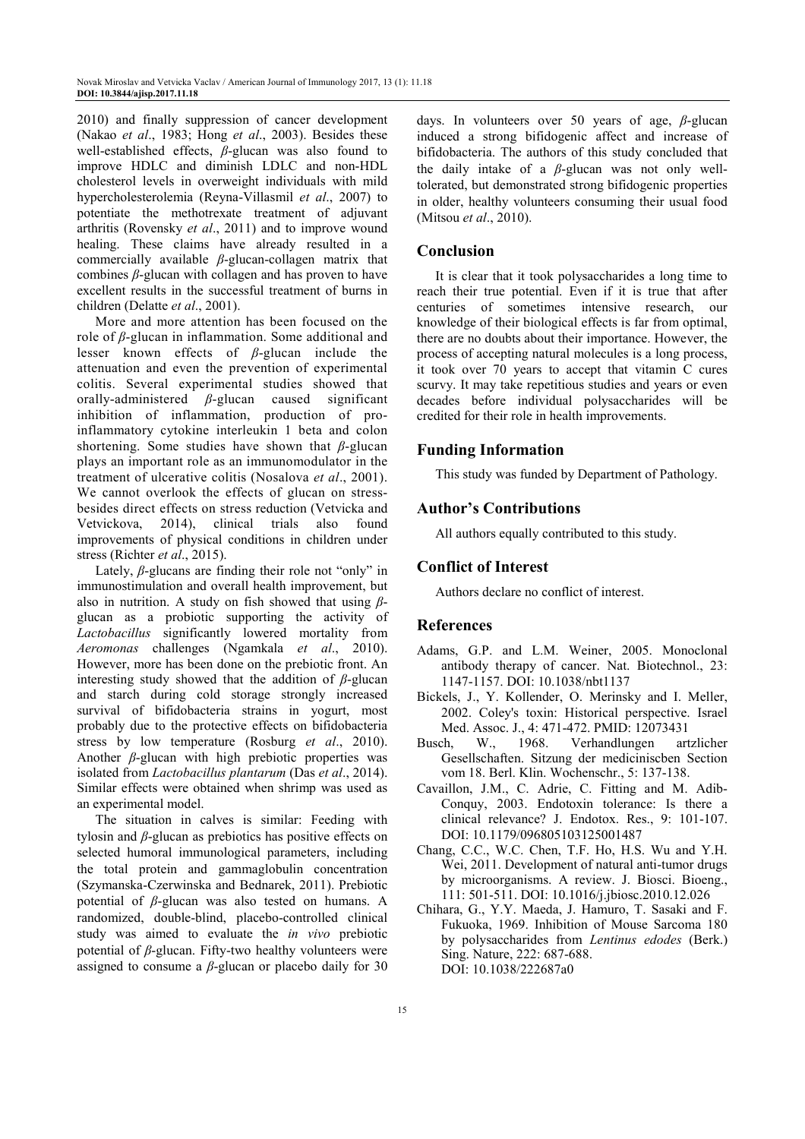2010) and finally suppression of cancer development (Nakao *et al*., 1983; Hong *et al*., 2003). Besides these well-established effects, *β*-glucan was also found to improve HDLC and diminish LDLC and non-HDL cholesterol levels in overweight individuals with mild hypercholesterolemia (Reyna-Villasmil *et al*., 2007) to potentiate the methotrexate treatment of adjuvant arthritis (Rovensky *et al*., 2011) and to improve wound healing. These claims have already resulted in a commercially available *β*-glucan-collagen matrix that combines *β*-glucan with collagen and has proven to have excellent results in the successful treatment of burns in children (Delatte *et al*., 2001).

More and more attention has been focused on the role of *β*-glucan in inflammation. Some additional and lesser known effects of *β*-glucan include the attenuation and even the prevention of experimental colitis. Several experimental studies showed that orally-administered *β*-glucan caused significant inhibition of inflammation, production of proinflammatory cytokine interleukin 1 beta and colon shortening. Some studies have shown that *β*-glucan plays an important role as an immunomodulator in the treatment of ulcerative colitis (Nosalova *et al*., 2001). We cannot overlook the effects of glucan on stressbesides direct effects on stress reduction (Vetvicka and Vetvickova, 2014), clinical trials also found improvements of physical conditions in children under stress (Richter *et al*., 2015).

Lately, *β*-glucans are finding their role not "only" in immunostimulation and overall health improvement, but also in nutrition. A study on fish showed that using *β*glucan as a probiotic supporting the activity of *Lactobacillus* significantly lowered mortality from *Aeromonas* challenges (Ngamkala *et al*., 2010). However, more has been done on the prebiotic front. An interesting study showed that the addition of *β*-glucan and starch during cold storage strongly increased survival of bifidobacteria strains in yogurt, most probably due to the protective effects on bifidobacteria stress by low temperature (Rosburg *et al*., 2010). Another *β*-glucan with high prebiotic properties was isolated from *Lactobacillus plantarum* (Das *et al*., 2014). Similar effects were obtained when shrimp was used as an experimental model.

The situation in calves is similar: Feeding with tylosin and *β*-glucan as prebiotics has positive effects on selected humoral immunological parameters, including the total protein and gammaglobulin concentration (Szymanska-Czerwinska and Bednarek, 2011). Prebiotic potential of *β*-glucan was also tested on humans. A randomized, double-blind, placebo-controlled clinical study was aimed to evaluate the *in vivo* prebiotic potential of *β*-glucan. Fifty-two healthy volunteers were assigned to consume a  $\beta$ -glucan or placebo daily for 30

days. In volunteers over 50 years of age, *β*-glucan induced a strong bifidogenic affect and increase of bifidobacteria. The authors of this study concluded that the daily intake of a *β*-glucan was not only welltolerated, but demonstrated strong bifidogenic properties in older, healthy volunteers consuming their usual food (Mitsou *et al*., 2010).

## **Conclusion**

It is clear that it took polysaccharides a long time to reach their true potential. Even if it is true that after centuries of sometimes intensive research, our knowledge of their biological effects is far from optimal, there are no doubts about their importance. However, the process of accepting natural molecules is a long process, it took over 70 years to accept that vitamin C cures scurvy. It may take repetitious studies and years or even decades before individual polysaccharides will be credited for their role in health improvements.

### **Funding Information**

This study was funded by Department of Pathology.

#### **Author's Contributions**

All authors equally contributed to this study.

## **Conflict of Interest**

Authors declare no conflict of interest.

#### **References**

- Adams, G.P. and L.M. Weiner, 2005. Monoclonal antibody therapy of cancer. Nat. Biotechnol., 23: 1147-1157. DOI: 10.1038/nbt1137
- Bickels, J., Y. Kollender, O. Merinsky and I. Meller, 2002. Coley's toxin: Historical perspective. Israel Med. Assoc. J., 4: 471-472. PMID: 12073431
- Busch, W., 1968. Verhandlungen artzlicher Gesellschaften. Sitzung der mediciniscben Section vom 18. Berl. Klin. Wochenschr., 5: 137-138.
- Cavaillon, J.M., C. Adrie, C. Fitting and M. Adib-Conquy, 2003. Endotoxin tolerance: Is there a clinical relevance? J. Endotox. Res., 9: 101-107. DOI: 10.1179/096805103125001487
- Chang, C.C., W.C. Chen, T.F. Ho, H.S. Wu and Y.H. Wei, 2011. Development of natural anti-tumor drugs by microorganisms. A review. J. Biosci. Bioeng., 111: 501-511. DOI: 10.1016/j.jbiosc.2010.12.026
- Chihara, G., Y.Y. Maeda, J. Hamuro, T. Sasaki and F. Fukuoka, 1969. Inhibition of Mouse Sarcoma 180 by polysaccharides from *Lentinus edodes* (Berk.) Sing. Nature, 222: 687-688. DOI: 10.1038/222687a0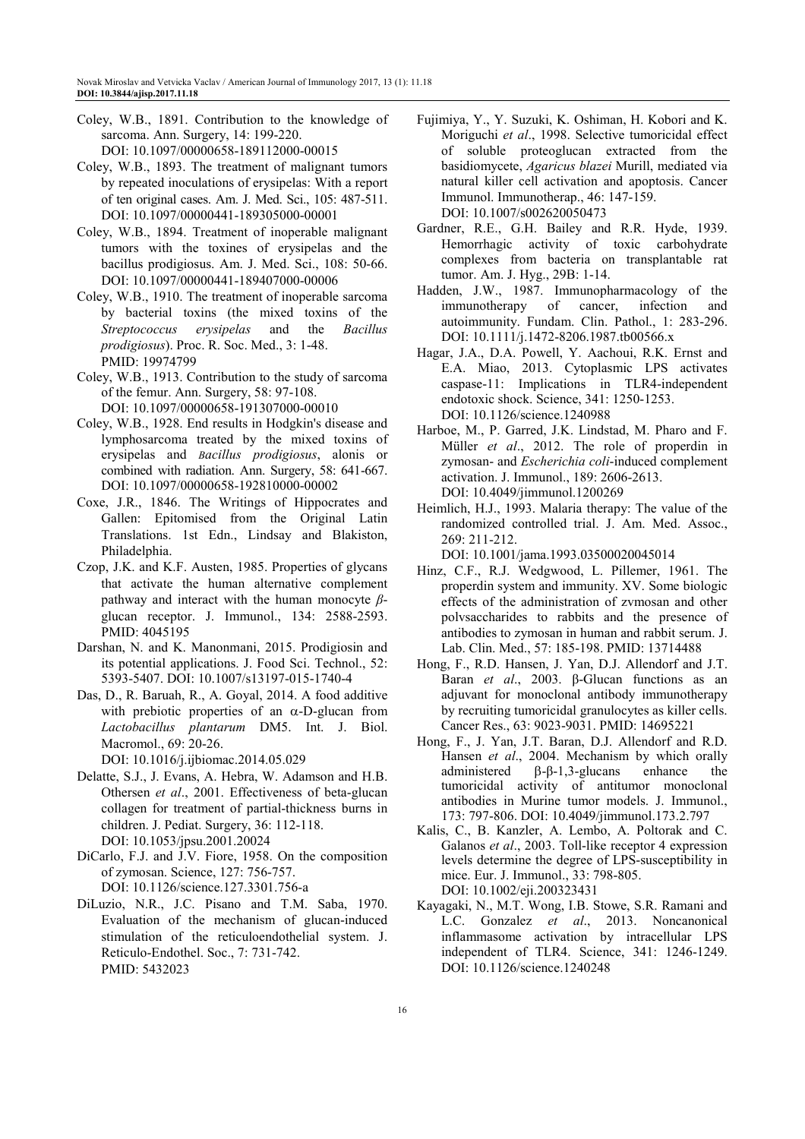- Coley, W.B., 1891. Contribution to the knowledge of sarcoma. Ann. Surgery, 14: 199-220. DOI: 10.1097/00000658-189112000-00015
- Coley, W.B., 1893. The treatment of malignant tumors by repeated inoculations of erysipelas: With a report of ten original cases. Am. J. Med. Sci., 105: 487-511. DOI: 10.1097/00000441-189305000-00001
- Coley, W.B., 1894. Treatment of inoperable malignant tumors with the toxines of erysipelas and the bacillus prodigiosus. Am. J. Med. Sci., 108: 50-66. DOI: 10.1097/00000441-189407000-00006
- Coley, W.B., 1910. The treatment of inoperable sarcoma by bacterial toxins (the mixed toxins of the *Streptococcus erysipelas* and the *Bacillus prodigiosus*). Proc. R. Soc. Med., 3: 1-48. PMID: 19974799
- Coley, W.B., 1913. Contribution to the study of sarcoma of the femur. Ann. Surgery, 58: 97-108. DOI: 10.1097/00000658-191307000-00010
- Coley, W.B., 1928. End results in Hodgkin's disease and lymphosarcoma treated by the mixed toxins of erysipelas and *Bacillus prodigiosus*, alonis or combined with radiation. Ann. Surgery, 58: 641-667. DOI: 10.1097/00000658-192810000-00002
- Coxe, J.R., 1846. The Writings of Hippocrates and Gallen: Epitomised from the Original Latin Translations. 1st Edn., Lindsay and Blakiston, Philadelphia.
- Czop, J.K. and K.F. Austen, 1985. Properties of glycans that activate the human alternative complement pathway and interact with the human monocyte *β*glucan receptor. J. Immunol., 134: 2588-2593. PMID: 4045195
- Darshan, N. and K. Manonmani, 2015. Prodigiosin and its potential applications. J. Food Sci. Technol., 52: 5393-5407. DOI: 10.1007/s13197-015-1740-4
- Das, D., R. Baruah, R., A. Goyal, 2014. A food additive with prebiotic properties of an  $\alpha$ -D-glucan from *Lactobacillus plantarum* DM5. Int. J. Biol. Macromol., 69: 20-26.

DOI: 10.1016/j.ijbiomac.2014.05.029

- Delatte, S.J., J. Evans, A. Hebra, W. Adamson and H.B. Othersen *et al*., 2001. Effectiveness of beta-glucan collagen for treatment of partial-thickness burns in children. J. Pediat. Surgery, 36: 112-118. DOI: 10.1053/jpsu.2001.20024
- DiCarlo, F.J. and J.V. Fiore, 1958. On the composition of zymosan. Science, 127: 756-757. DOI: 10.1126/science.127.3301.756-a
- DiLuzio, N.R., J.C. Pisano and T.M. Saba, 1970. Evaluation of the mechanism of glucan-induced stimulation of the reticuloendothelial system. J. Reticulo-Endothel. Soc., 7: 731-742. PMID: 5432023
- Fujimiya, Y., Y. Suzuki, K. Oshiman, H. Kobori and K. Moriguchi *et al*., 1998. Selective tumoricidal effect of soluble proteoglucan extracted from the basidiomycete, *Agaricus blazei* Murill, mediated via natural killer cell activation and apoptosis. Cancer Immunol. Immunotherap., 46: 147-159. DOI: 10.1007/s002620050473
- Gardner, R.E., G.H. Bailey and R.R. Hyde, 1939. Hemorrhagic activity of toxic carbohydrate complexes from bacteria on transplantable rat tumor. Am. J. Hyg., 29B: 1-14.
- Hadden, J.W., 1987. Immunopharmacology of the immunotherapy of cancer, infection and autoimmunity. Fundam. Clin. Pathol., 1: 283-296. DOI: 10.1111/j.1472-8206.1987.tb00566.x
- Hagar, J.A., D.A. Powell, Y. Aachoui, R.K. Ernst and E.A. Miao, 2013. Cytoplasmic LPS activates caspase-11: Implications in TLR4-independent endotoxic shock. Science, 341: 1250-1253. DOI: 10.1126/science.1240988
- Harboe, M., P. Garred, J.K. Lindstad, M. Pharo and F. Müller *et al*., 2012. The role of properdin in zymosan- and *Escherichia coli*-induced complement activation. J. Immunol., 189: 2606-2613. DOI: 10.4049/jimmunol.1200269
- Heimlich, H.J., 1993. Malaria therapy: The value of the randomized controlled trial. J. Am. Med. Assoc., 269: 211-212.

DOI: 10.1001/jama.1993.03500020045014

- Hinz, C.F., R.J. Wedgwood, L. Pillemer, 1961. The properdin system and immunity. XV. Some biologic effects of the administration of zvmosan and other polvsaccharides to rabbits and the presence of antibodies to zymosan in human and rabbit serum. J. Lab. Clin. Med., 57: 185-198. PMID: 13714488
- Hong, F., R.D. Hansen, J. Yan, D.J. Allendorf and J.T. Baran *et al*., 2003. β-Glucan functions as an adjuvant for monoclonal antibody immunotherapy by recruiting tumoricidal granulocytes as killer cells. Cancer Res., 63: 9023-9031. PMID: 14695221
- Hong, F., J. Yan, J.T. Baran, D.J. Allendorf and R.D. Hansen *et al*., 2004. Mechanism by which orally administered β-β-1,3-glucans enhance the tumoricidal activity of antitumor monoclonal antibodies in Murine tumor models. J. Immunol., 173: 797-806. DOI: 10.4049/jimmunol.173.2.797
- Kalis, C., B. Kanzler, A. Lembo, A. Poltorak and C. Galanos *et al*., 2003. Toll-like receptor 4 expression levels determine the degree of LPS-susceptibility in mice. Eur. J. Immunol., 33: 798-805. DOI: 10.1002/eji.200323431
- Kayagaki, N., M.T. Wong, I.B. Stowe, S.R. Ramani and L.C. Gonzalez *et al*., 2013. Noncanonical inflammasome activation by intracellular LPS independent of TLR4. Science, 341: 1246-1249. DOI: 10.1126/science.1240248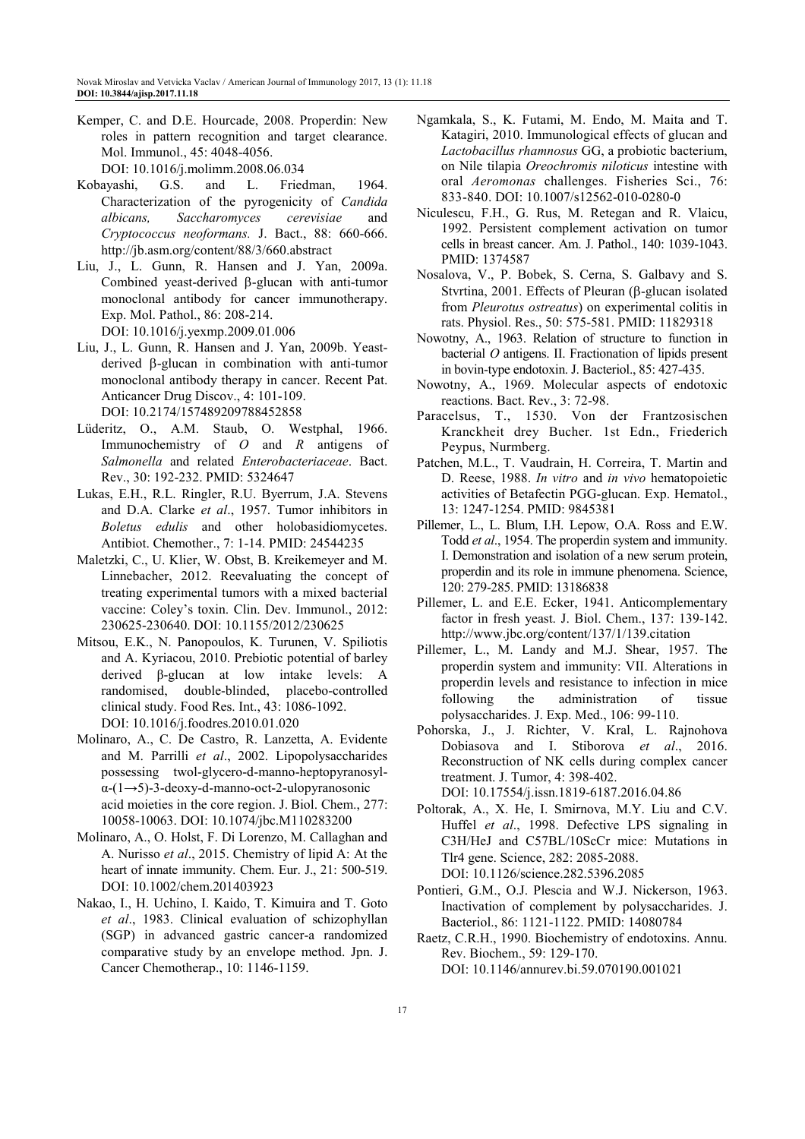- Kemper, C. and D.E. Hourcade, 2008. Properdin: New roles in pattern recognition and target clearance. Mol. Immunol., 45: 4048-4056. DOI: 10.1016/j.molimm.2008.06.034
- Kobayashi, G.S. and L. Friedman, 1964. Characterization of the pyrogenicity of *Candida albicans, Saccharomyces cerevisiae* and *Cryptococcus neoformans.* J. Bact., 88: 660-666. http://jb.asm.org/content/88/3/660.abstract
- Liu, J., L. Gunn, R. Hansen and J. Yan, 2009a. Combined yeast-derived β-glucan with anti-tumor monoclonal antibody for cancer immunotherapy. Exp. Mol. Pathol., 86: 208-214. DOI: 10.1016/j.yexmp.2009.01.006
- Liu, J., L. Gunn, R. Hansen and J. Yan, 2009b. Yeastderived β-glucan in combination with anti-tumor monoclonal antibody therapy in cancer. Recent Pat. Anticancer Drug Discov., 4: 101-109. DOI: 10.2174/157489209788452858
- Lüderitz, O., A.M. Staub, O. Westphal, 1966. Immunochemistry of *O* and *R* antigens of *Salmonella* and related *Enterobacteriaceae*. Bact. Rev., 30: 192-232. PMID: 5324647
- Lukas, E.H., R.L. Ringler, R.U. Byerrum, J.A. Stevens and D.A. Clarke *et al*., 1957. Tumor inhibitors in *Boletus edulis* and other holobasidiomycetes. Antibiot. Chemother., 7: 1-14. PMID: 24544235
- Maletzki, C., U. Klier, W. Obst, B. Kreikemeyer and M. Linnebacher, 2012. Reevaluating the concept of treating experimental tumors with a mixed bacterial vaccine: Coley's toxin. Clin. Dev. Immunol., 2012: 230625-230640. DOI: 10.1155/2012/230625
- Mitsou, E.K., N. Panopoulos, K. Turunen, V. Spiliotis and A. Kyriacou, 2010. Prebiotic potential of barley derived β-glucan at low intake levels: A randomised, double-blinded, placebo-controlled clinical study. Food Res. Int., 43: 1086-1092. DOI: 10.1016/j.foodres.2010.01.020
- Molinaro, A., C. De Castro, R. Lanzetta, A. Evidente and M. Parrilli *et al*., 2002. Lipopolysaccharides possessing twol-glycero-d-manno-heptopyranosylα-(1→5)-3-deoxy-d-manno-oct-2-ulopyranosonic acid moieties in the core region. J. Biol. Chem., 277: 10058-10063. DOI: 10.1074/jbc.M110283200
- Molinaro, A., O. Holst, F. Di Lorenzo, M. Callaghan and A. Nurisso *et al*., 2015. Chemistry of lipid A: At the heart of innate immunity. Chem. Eur. J., 21: 500-519. DOI: 10.1002/chem.201403923
- Nakao, I., H. Uchino, I. Kaido, T. Kimuira and T. Goto *et al*., 1983. Clinical evaluation of schizophyllan (SGP) in advanced gastric cancer-a randomized comparative study by an envelope method. Jpn. J. Cancer Chemotherap., 10: 1146-1159.
- Ngamkala, S., K. Futami, M. Endo, M. Maita and T. Katagiri, 2010. Immunological effects of glucan and *Lactobacillus rhamnosus* GG, a probiotic bacterium, on Nile tilapia *Oreochromis niloticus* intestine with oral *Aeromonas* challenges. Fisheries Sci., 76: 833-840. DOI: 10.1007/s12562-010-0280-0
- Niculescu, F.H., G. Rus, M. Retegan and R. Vlaicu, 1992. Persistent complement activation on tumor cells in breast cancer. Am. J. Pathol., 140: 1039-1043. PMID: 1374587
- Nosalova, V., P. Bobek, S. Cerna, S. Galbavy and S. Stvrtina, 2001. Effects of Pleuran (β-glucan isolated from *Pleurotus ostreatus*) on experimental colitis in rats. Physiol. Res., 50: 575-581. PMID: 11829318
- Nowotny, A., 1963. Relation of structure to function in bacterial *O* antigens. II. Fractionation of lipids present in bovin-type endotoxin. J. Bacteriol., 85: 427-435.
- Nowotny, A., 1969. Molecular aspects of endotoxic reactions. Bact. Rev., 3: 72-98.
- Paracelsus, T., 1530. Von der Frantzosischen Kranckheit drey Bucher*.* 1st Edn., Friederich Peypus, Nurmberg.
- Patchen, M.L., T. Vaudrain, H. Correira, T. Martin and D. Reese, 1988. *In vitro* and *in vivo* hematopoietic activities of Betafectin PGG-glucan. Exp. Hematol., 13: 1247-1254. PMID: 9845381
- Pillemer, L., L. Blum, I.H. Lepow, O.A. Ross and E.W. Todd *et al*., 1954. The properdin system and immunity. I. Demonstration and isolation of a new serum protein, properdin and its role in immune phenomena. Science, 120: 279-285. PMID: 13186838
- Pillemer, L. and E.E. Ecker, 1941. Anticomplementary factor in fresh yeast. J. Biol. Chem., 137: 139-142. http://www.jbc.org/content/137/1/139.citation
- Pillemer, L., M. Landy and M.J. Shear, 1957. The properdin system and immunity: VII. Alterations in properdin levels and resistance to infection in mice following the administration of tissue polysaccharides. J. Exp. Med., 106: 99-110.
- Pohorska, J., J. Richter, V. Kral, L. Rajnohova Dobiasova and I. Stiborova *et al*., 2016. Reconstruction of NK cells during complex cancer treatment. J. Tumor, 4: 398-402. DOI: 10.17554/j.issn.1819-6187.2016.04.86
- Poltorak, A., X. He, I. Smirnova, M.Y. Liu and C.V. Huffel *et al*., 1998. Defective LPS signaling in C3H/HeJ and C57BL/10ScCr mice: Mutations in Tlr4 gene. Science, 282: 2085-2088. DOI: 10.1126/science.282.5396.2085
- Pontieri, G.M., O.J. Plescia and W.J. Nickerson, 1963. Inactivation of complement by polysaccharides. J. Bacteriol., 86: 1121-1122. PMID: 14080784
- Raetz, C.R.H., 1990. Biochemistry of endotoxins. Annu. Rev. Biochem., 59: 129-170. DOI: 10.1146/annurev.bi.59.070190.001021